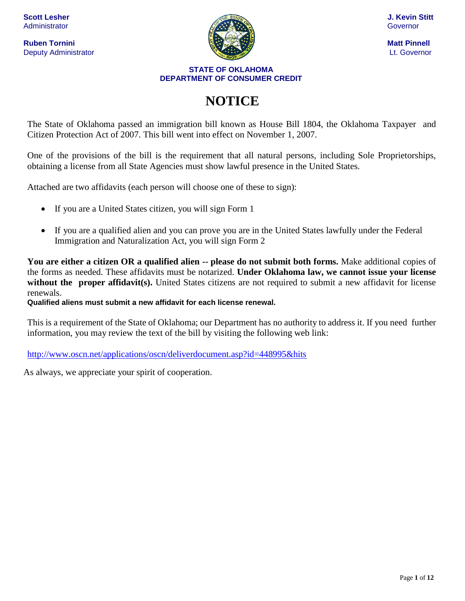**Ruben Tornini Matt Pinnell** Deputy Administrator Lt. Governor



#### **STATE OF OKLAHOMA DEPARTMENT OF CONSUMER CREDIT**

# **NOTICE**

The State of Oklahoma passed an immigration bill known as House Bill 1804, the Oklahoma Taxpayer and Citizen Protection Act of 2007. This bill went into effect on November 1, 2007.

One of the provisions of the bill is the requirement that all natural persons, including Sole Proprietorships, obtaining a license from all State Agencies must show lawful presence in the United States.

Attached are two affidavits (each person will choose one of these to sign):

- If you are a United States citizen, you will sign Form 1
- If you are a qualified alien and you can prove you are in the United States lawfully under the Federal Immigration and Naturalization Act, you will sign Form 2

**You are either a citizen OR a qualified alien -- please do not submit both forms.** Make additional copies of the forms as needed. These affidavits must be notarized. **Under Oklahoma law, we cannot issue your license without the proper affidavit(s).** United States citizens are not required to submit a new affidavit for license renewals.

**Qualified aliens must submit a new affidavit for each license renewal.**

This is a requirement of the State of Oklahoma; our Department has no authority to address it. If you need further information, you may review the text of the bill by visiting the following web link:

<http://www.oscn.net/applications/oscn/deliverdocument.asp?id=448995&hits>

As always, we appreciate your spirit of cooperation.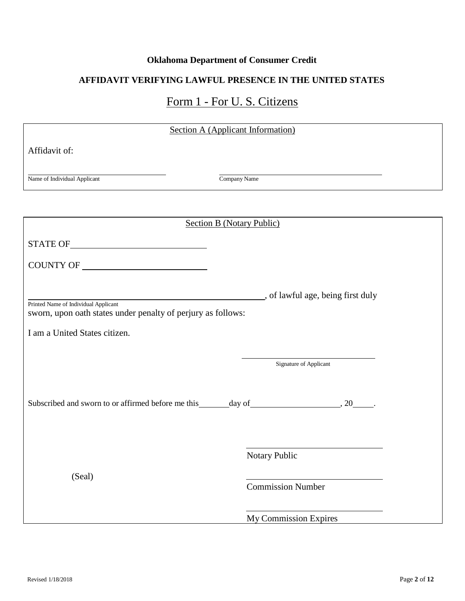### **Oklahoma Department of Consumer Credit**

### **AFFIDAVIT VERIFYING LAWFUL PRESENCE IN THE UNITED STATES**

## Form 1 - For U. S. Citizens

| <b>Section A (Applicant Information)</b>                                                             |                                 |
|------------------------------------------------------------------------------------------------------|---------------------------------|
| Affidavit of:                                                                                        |                                 |
|                                                                                                      |                                 |
| Name of Individual Applicant                                                                         | Company Name                    |
|                                                                                                      |                                 |
| <b>Section B (Notary Public)</b>                                                                     |                                 |
|                                                                                                      |                                 |
|                                                                                                      |                                 |
|                                                                                                      |                                 |
| Printed Name of Individual Applicant<br>sworn, upon oath states under penalty of perjury as follows: | of lawful age, being first duly |
| I am a United States citizen.                                                                        |                                 |
|                                                                                                      |                                 |
|                                                                                                      | Signature of Applicant          |
|                                                                                                      |                                 |
|                                                                                                      |                                 |
|                                                                                                      |                                 |
|                                                                                                      |                                 |
|                                                                                                      | Notary Public                   |
| (Seal)                                                                                               |                                 |
|                                                                                                      | <b>Commission Number</b>        |
|                                                                                                      | My Commission Expires           |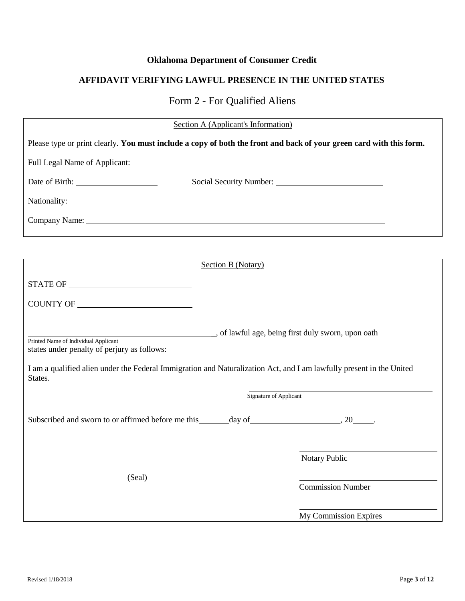### **Oklahoma Department of Consumer Credit**

### **AFFIDAVIT VERIFYING LAWFUL PRESENCE IN THE UNITED STATES**

### Form 2 - For Qualified Aliens

| Section A (Applicant's Information)                                                                                             |                          |  |
|---------------------------------------------------------------------------------------------------------------------------------|--------------------------|--|
| Please type or print clearly. You must include a copy of both the front and back of your green card with this form.             |                          |  |
|                                                                                                                                 |                          |  |
|                                                                                                                                 |                          |  |
|                                                                                                                                 |                          |  |
|                                                                                                                                 |                          |  |
| <u> 1989 - Johann Stein, mars an de Brasilia (b. 1989)</u>                                                                      |                          |  |
| <b>Section B (Notary)</b>                                                                                                       |                          |  |
| $\begin{tabular}{c} \bf STATE OF \end{tabular} \begin{tabular}{c} \textbf{5} \textbf{TATE OF} \end{tabular}$                    |                          |  |
| COUNTY OF                                                                                                                       |                          |  |
| Printed Name of Individual Applicant<br>states under penalty of perjury as follows:                                             |                          |  |
| I am a qualified alien under the Federal Immigration and Naturalization Act, and I am lawfully present in the United<br>States. |                          |  |
|                                                                                                                                 | Signature of Applicant   |  |
|                                                                                                                                 |                          |  |
|                                                                                                                                 | Notary Public            |  |
| (Seal)                                                                                                                          | <b>Commission Number</b> |  |
|                                                                                                                                 | My Commission Expires    |  |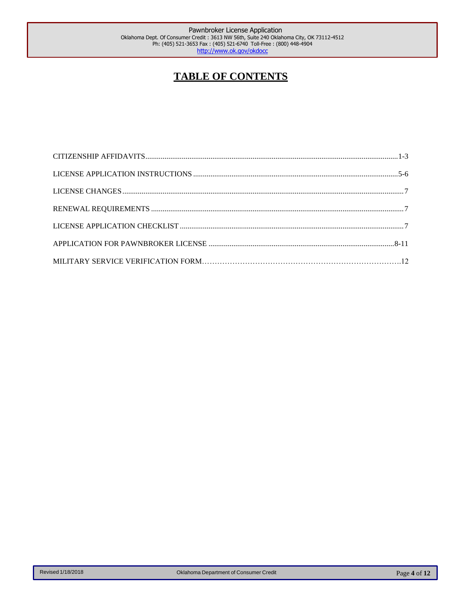### **TABLE OF CONTENTS**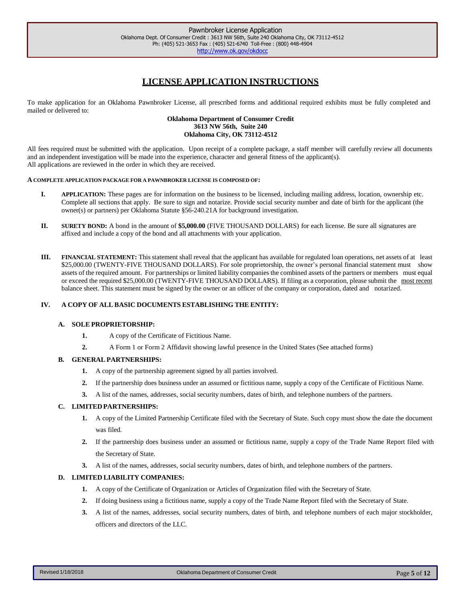### **LICENSE APPLICATION INSTRUCTIONS**

<span id="page-4-0"></span>To make application for an Oklahoma Pawnbroker License, all prescribed forms and additional required exhibits must be fully completed and mailed or delivered to:

#### **Oklahoma Department of Consumer Credit 3613 NW 56th, Suite 240 Oklahoma City, OK 73112-4512**

All fees required must be submitted with the application. Upon receipt of a complete package, a staff member will carefully review all documents and an independent investigation will be made into the experience, character and general fitness of the applicant(s). All applications are reviewed in the order in which they are received.

#### **A COMPLETE APPLICATION PACKAGE FOR A PAWNBROKER LICENSE IS COMPOSED OF:**

- **I. APPLICATION:** These pages are for information on the business to be licensed, including mailing address, location, ownership etc. Complete all sections that apply. Be sure to sign and notarize. Provide social security number and date of birth for the applicant (the owner(s) or partners) per Oklahoma Statute §56-240.21A for background investigation.
- **II. SURETY BOND:** A bond in the amount of **\$5,000.00** (FIVE THOUSAND DOLLARS) for each license. Be sure all signatures are affixed and include a copy of the bond and all attachments with your application.
- **III. FINANCIAL STATEMENT:** This statement shall reveal that the applicant has available for regulated loan operations, net assets of at least \$25,000.00 (TWENTY-FIVE THOUSAND DOLLARS). For sole proprietorship, the owner's personal financial statement must show assets of the required amount. For partnerships or limited liability companies the combined assets of the partners or members must equal or exceed the required \$25,000.00 (TWENTY-FIVE THOUSAND DOLLARS). If filing as a corporation, please submit the most recent balance sheet. This statement must be signed by the owner or an officer of the company or corporation, dated and notarized.

#### **IV. A COPY OF ALL BASIC DOCUMENTS ESTABLISHING THE ENTITY:**

#### **A. SOLE PROPRIETORSHIP:**

- **1.** A copy of the Certificate of Fictitious Name.
- **2.** A Form 1 or Form 2 Affidavit showing lawful presence in the United States (See attached forms)

#### **B. GENERAL PARTNERSHIPS:**

- **1.** A copy of the partnership agreement signed by all parties involved.
- **2.** If the partnership does business under an assumed or fictitious name, supply a copy of the Certificate of Fictitious Name.
- **3.** A list of the names, addresses, social security numbers, dates of birth, and telephone numbers of the partners.

#### **C. LIMITED PARTNERSHIPS:**

- **1.** A copy of the Limited Partnership Certificate filed with the Secretary of State. Such copy must show the date the document was filed.
- **2.** If the partnership does business under an assumed or fictitious name, supply a copy of the Trade Name Report filed with the Secretary of State.
- **3.** A list of the names, addresses, social security numbers, dates of birth, and telephone numbers of the partners.

#### **D. LIMITED LIABILITY COMPANIES:**

- **1.** A copy of the Certificate of Organization or Articles of Organization filed with the Secretary of State.
- **2.** If doing business using a fictitious name, supply a copy of the Trade Name Report filed with the Secretary of State.
- **3.** A list of the names, addresses, social security numbers, dates of birth, and telephone numbers of each major stockholder, officers and directors of the LLC.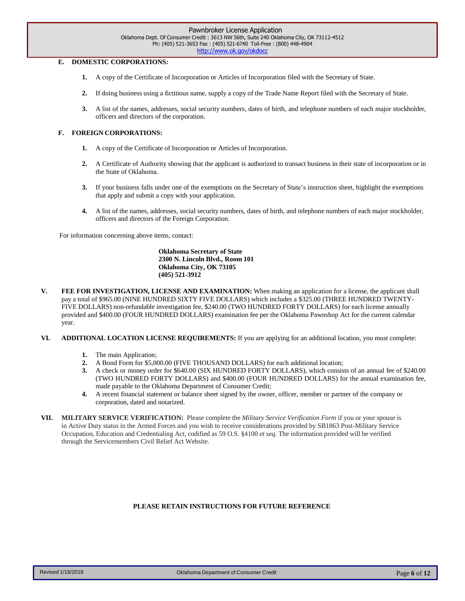#### **E. DOMESTIC CORPORATIONS:**

- **1.** A copy of the Certificate of Incorporation or Articles of Incorporation filed with the Secretary of State.
- **2.** If doing business using a fictitious name, supply a copy of the Trade Name Report filed with the Secretary of State.
- **3.** A list of the names, addresses, social security numbers, dates of birth, and telephone numbers of each major stockholder, officers and directors of the corporation.

#### **F. FOREIGN CORPORATIONS:**

- **1.** A copy of the Certificate of Incorporation or Articles of Incorporation.
- **2.** A Certificate of Authority showing that the applicant is authorized to transact business in their state of incorporation or in the State of Oklahoma.
- **3.** If your business falls under one of the exemptions on the Secretary of State's instruction sheet, highlight the exemptions that apply and submit a copy with your application.
- **4.** A list of the names, addresses, social security numbers, dates of birth, and telephone numbers of each major stockholder, officers and directors of the Foreign Corporation.

For information concerning above items, contact:

**Oklahoma Secretary of State 2300 N. Lincoln Blvd., Room 101 Oklahoma City, OK 73105 (405) 521-3912**

- **V. FEE FOR INVESTIGATION, LICENSE AND EXAMINATION:** When making an application for a license, the applicant shall pay a total of \$965.00 (NINE HUNDRED SIXTY FIVE DOLLARS) which includes a \$325.00 (THREE HUNDRED TWENTY-FIVE DOLLARS) non-refundable investigation fee, \$240.00 (TWO HUNDRED FORTY DOLLARS) for each license annually provided and \$400.00 (FOUR HUNDRED DOLLARS) examination fee per the Oklahoma Pawnshop Act for the current calendar year.
- **VI. ADDITIONAL LOCATION LICENSE REQUIREMENTS:** If you are applying for an additional location, you must complete:
	- **1.** The main Application;
	- **2.** A Bond Form for \$5,000.00 (FIVE THOUSAND DOLLARS) for each additional location;
	- **3.** A check or money order for \$640.00 (SIX HUNDRED FORTY DOLLARS), which consists of an annual fee of \$240.00 (TWO HUNDRED FORTY DOLLARS) and \$400.00 (FOUR HUNDRED DOLLARS) for the annual examination fee, made payable to the Oklahoma Department of Consumer Credit;
	- **4.** A recent financial statement or balance sheet signed by the owner, officer, member or partner of the company or corporation, dated and notarized.
- **VII. MILITARY SERVICE VERIFICATION:** Please complete the *Military Service Verification Form* if you or your spouse is in Active Duty status in the Armed Forces and you wish to receive considerations provided by SB1863 Post-Military Service Occupation, Education and Credentialing Act, codified as 59 O.S. §4100 *et seq.* The information provided will be verified through the Servicemembers Civil Relief Act Website.

#### **PLEASE RETAIN INSTRUCTIONS FOR FUTURE REFERENCE**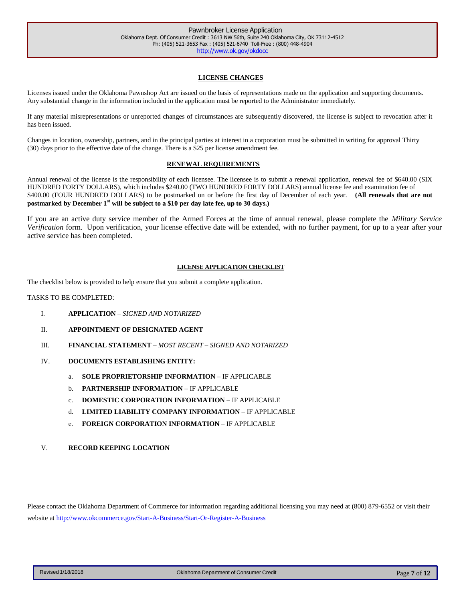#### **LICENSE CHANGES**

Licenses issued under the Oklahoma Pawnshop Act are issued on the basis of representations made on the application and supporting documents. Any substantial change in the information included in the application must be reported to the Administrator immediately.

If any material misrepresentations or unreported changes of circumstances are subsequently discovered, the license is subject to revocation after it has been issued.

Changes in location, ownership, partners, and in the principal parties at interest in a corporation must be submitted in writing for approval Thirty (30) days prior to the effective date of the change. There is a \$25 per license amendment fee.

#### **RENEWAL REQUIREMENTS**

Annual renewal of the license is the responsibility of each licensee. The licensee is to submit a renewal application, renewal fee of \$640.00 (SIX HUNDRED FORTY DOLLARS), which includes \$240.00 (TWO HUNDRED FORTY DOLLARS) annual license fee and examination fee of \$400.00 (FOUR HUNDRED DOLLARS) to be postmarked on or before the first day of December of each year. **(All renewals that are not postmarked by December 1 st will be subject to a \$10 per day late fee, up to 30 days.)**

If you are an active duty service member of the Armed Forces at the time of annual renewal, please complete the *Military Service Verification* form. Upon verification, your license effective date will be extended, with no further payment, for up to a year after your active service has been completed.

#### **LICENSE APPLICATION CHECKLIST**

The checklist below is provided to help ensure that you submit a complete application.

#### TASKS TO BE COMPLETED:

- I. **APPLICATION** *SIGNED AND NOTARIZED*
- II. **APPOINTMENT OF DESIGNATED AGENT**
- III. **FINANCIAL STATEMENT** *MOST RECENT – SIGNED AND NOTARIZED*
- IV. **DOCUMENTS ESTABLISHING ENTITY:**
	- a. **SOLE PROPRIETORSHIP INFORMATION** IF APPLICABLE
	- b. **PARTNERSHIP INFORMATION** IF APPLICABLE
	- c. **DOMESTIC CORPORATION INFORMATION** IF APPLICABLE
	- d. **LIMITED LIABILITY COMPANY INFORMATION** IF APPLICABLE
	- e. **FOREIGN CORPORATION INFORMATION** IF APPLICABLE
- V. **RECORD KEEPING LOCATION**

Please contact the Oklahoma Department of Commerce for information regarding additional licensing you may need at (800) 879-6552 or visit their website at <http://www.okcommerce.gov/Start-A-Business/Start-Or-Register-A-Business>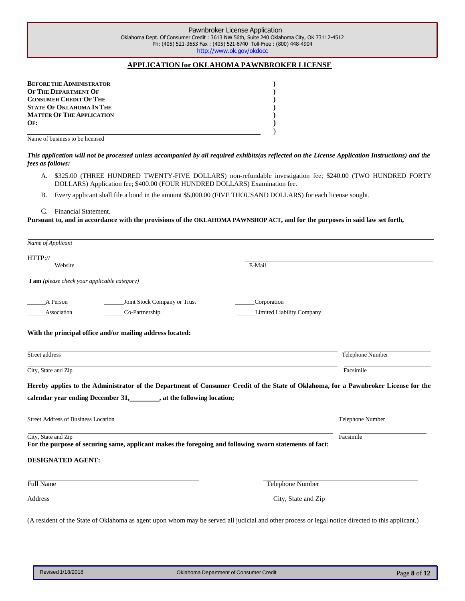#### **APPLICATION for OKLAHOMA PAWNBROKER LICENSE**

| <b>BEFORE THE ADMINISTRATOR</b>  |  |
|----------------------------------|--|
| OF THE DEPARTMENT OF             |  |
| <b>CONSUMER CREDIT OF THE</b>    |  |
| <b>STATE OF OKLAHOMA IN THE</b>  |  |
| <b>MATTER OF THE APPLICATION</b> |  |
| $OF$ :                           |  |
|                                  |  |

Name of business to be licensed

This application will not be processed unless accompanied by all required exhibits(as reflected on the License Application Instructions) and the *fees as follows:*

- A. \$325.00 (THREE HUNDRED TWENTY-FIVE DOLLARS) non-refundable investigation fee; \$240.00 (TWO HUNDRED FORTY DOLLARS) Application fee; \$400.00 (FOUR HUNDRED DOLLARS) Examination fee.
- B. Every applicant shall file a bond in the amount \$5,000.00 (FIVE THOUSAND DOLLARS) for each license sought.
- C. Financial Statement.

Pursuant to, and in accordance with the provisions of the OKLAHOMA PAWNSHOP ACT, and for the purposes in said law set forth,

| HTTP://                                                                                                                                                                |                                                                                                                                     |                  |
|------------------------------------------------------------------------------------------------------------------------------------------------------------------------|-------------------------------------------------------------------------------------------------------------------------------------|------------------|
| Website                                                                                                                                                                | E-Mail                                                                                                                              |                  |
| I am (please check your applicable category)                                                                                                                           |                                                                                                                                     |                  |
| A Person                                                                                                                                                               | Joint Stock Company or Trust<br>Corporation                                                                                         |                  |
| Co-Partnership<br>Association                                                                                                                                          | Limited Liability Company                                                                                                           |                  |
| With the principal office and/or mailing address located:                                                                                                              |                                                                                                                                     |                  |
|                                                                                                                                                                        |                                                                                                                                     | Telephone Number |
|                                                                                                                                                                        |                                                                                                                                     |                  |
| Street address<br>City, State and Zip                                                                                                                                  |                                                                                                                                     | Facsimile        |
|                                                                                                                                                                        | Hereby applies to the Administrator of the Department of Consumer Credit of the State of Oklahoma, for a Pawnbroker License for the | Telephone Number |
|                                                                                                                                                                        | For the purpose of securing same, applicant makes the foregoing and following sworn statements of fact:                             | Facsimile        |
| calendar year ending December 31, _______, at the following location;<br><b>Street Address of Business Location</b><br>City, State and Zip<br><b>DESIGNATED AGENT:</b> |                                                                                                                                     |                  |
| Full Name                                                                                                                                                              | <b>Telephone Number</b>                                                                                                             |                  |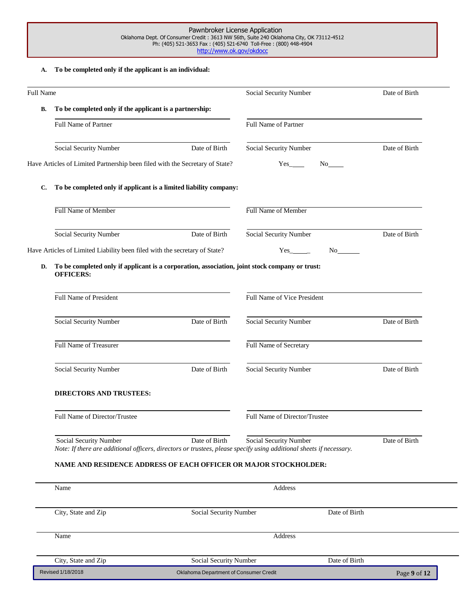#### Pawnbroker License Application Oklahoma Dept. Of Consumer Credit : 3613 NW 56th, Suite 240 Oklahoma City, OK 73112-4512 Ph: (405) 521-3653 Fax : (405) 521-6740 Toll-Free : (800) 448-4904 <http://www.ok.gov/okdocc>

#### **A. To be completed only if the applicant is an individual:**

| <b>Full Name</b> |                                                                                                                    |                                         | Social Security Number                                                                                                                                                                                                                                      | Date of Birth |  |
|------------------|--------------------------------------------------------------------------------------------------------------------|-----------------------------------------|-------------------------------------------------------------------------------------------------------------------------------------------------------------------------------------------------------------------------------------------------------------|---------------|--|
| В.               | To be completed only if the applicant is a partnership:                                                            |                                         |                                                                                                                                                                                                                                                             |               |  |
|                  | Full Name of Partner                                                                                               |                                         | Full Name of Partner                                                                                                                                                                                                                                        |               |  |
|                  | Social Security Number                                                                                             | Date of Birth                           | Social Security Number                                                                                                                                                                                                                                      | Date of Birth |  |
|                  | Have Articles of Limited Partnership been filed with the Secretary of State?                                       |                                         | $Yes$ <sub>_______</sub><br>No the set of the set of the set of the set of the set of the set of the set of the set of the set of the set of the set of the set of the set of the set of the set of the set of the set of the set of the set of the set of  |               |  |
| C.               | To be completed only if applicant is a limited liability company:                                                  |                                         |                                                                                                                                                                                                                                                             |               |  |
|                  | Full Name of Member                                                                                                |                                         | Full Name of Member                                                                                                                                                                                                                                         |               |  |
|                  | Social Security Number                                                                                             | Date of Birth                           | Social Security Number                                                                                                                                                                                                                                      | Date of Birth |  |
|                  | Have Articles of Limited Liability been filed with the secretary of State?                                         |                                         | $Yes$ <sub>_________</sub><br>No new years of the set of the set of the set of the set of the set of the set of the set of the set of the set of the set of the set of the set of the set of the set of the set of the set of the set of the set of the set |               |  |
| D.               | To be completed only if applicant is a corporation, association, joint stock company or trust:<br><b>OFFICERS:</b> |                                         |                                                                                                                                                                                                                                                             |               |  |
|                  | Full Name of President                                                                                             |                                         | Full Name of Vice President                                                                                                                                                                                                                                 |               |  |
|                  | Social Security Number                                                                                             | Date of Birth                           | Social Security Number                                                                                                                                                                                                                                      | Date of Birth |  |
|                  | Full Name of Treasurer                                                                                             |                                         | Full Name of Secretary                                                                                                                                                                                                                                      |               |  |
|                  | Social Security Number                                                                                             | Date of Birth                           | Social Security Number                                                                                                                                                                                                                                      | Date of Birth |  |
|                  | <b>DIRECTORS AND TRUSTEES:</b>                                                                                     |                                         |                                                                                                                                                                                                                                                             |               |  |
|                  | Full Name of Director/Trustee                                                                                      |                                         | Full Name of Director/Trustee                                                                                                                                                                                                                               |               |  |
|                  | Social Security Number                                                                                             | Date of Birth                           | Social Security Number<br>Note: If there are additional officers, directors or trustees, please specify using additional sheets if necessary.                                                                                                               | Date of Birth |  |
|                  | NAME AND RESIDENCE ADDRESS OF EACH OFFICER OR MAJOR STOCKHOLDER:                                                   |                                         |                                                                                                                                                                                                                                                             |               |  |
|                  | Name                                                                                                               |                                         | Address                                                                                                                                                                                                                                                     |               |  |
|                  | City, State and Zip                                                                                                | Date of Birth<br>Social Security Number |                                                                                                                                                                                                                                                             |               |  |
|                  | Name                                                                                                               |                                         | Address                                                                                                                                                                                                                                                     |               |  |
|                  | City, State and Zip                                                                                                | Social Security Number                  | Date of Birth                                                                                                                                                                                                                                               |               |  |
|                  | Revised 1/18/2018                                                                                                  | Oklahoma Department of Consumer Credit  |                                                                                                                                                                                                                                                             | Page 9 of 12  |  |

 $\overline{\phantom{0}}$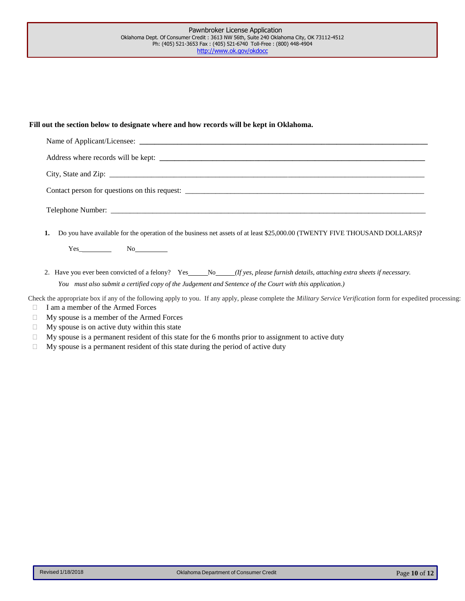#### **Fill out the section below to designate where and how records will be kept in Oklahoma.**

| 1. Do you have available for the operation of the business net assets of at least \$25,000.00 (TWENTY FIVE THOUSAND DOLLARS)? |
|-------------------------------------------------------------------------------------------------------------------------------|
| Yes No                                                                                                                        |
|                                                                                                                               |

2. Have you ever been convicted of a felony? Yes No *(If yes, please furnish details, attaching extra sheets if necessary. You must also submit a certified copy of the Judgement and Sentence of the Court with this application.)*

Check the appropriate box if any of the following apply to you. If any apply, please complete the *Military Service Verification* form for expedited processing: I am a member of the Armed Forces

- My spouse is a member of the Armed Forces
- $\Box$  My spouse is on active duty within this state
- $\Box$  My spouse is a permanent resident of this state for the 6 months prior to assignment to active duty
- $\Box$  My spouse is a permanent resident of this state during the period of active duty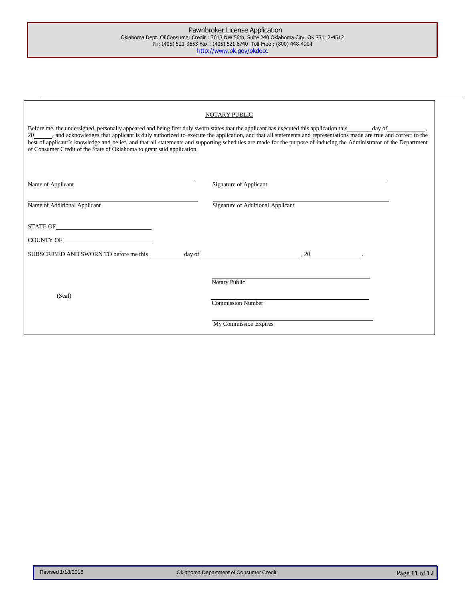| NOTARY PUBLIC                                                                                                                                                                                                                                                                                                                                                                                                                                                                                                                                                                  |                                   |  |  |
|--------------------------------------------------------------------------------------------------------------------------------------------------------------------------------------------------------------------------------------------------------------------------------------------------------------------------------------------------------------------------------------------------------------------------------------------------------------------------------------------------------------------------------------------------------------------------------|-----------------------------------|--|--|
| Before me, the undersigned, personally appeared and being first duly sworn states that the applicant has executed this application this day of day of<br>20_____, and acknowledges that applicant is duly authorized to execute the application, and that all statements and representations made are true and correct to the<br>best of applicant's knowledge and belief, and that all statements and supporting schedules are made for the purpose of inducing the Administrator of the Department<br>of Consumer Credit of the State of Oklahoma to grant said application. |                                   |  |  |
| Name of Applicant                                                                                                                                                                                                                                                                                                                                                                                                                                                                                                                                                              | Signature of Applicant            |  |  |
| Name of Additional Applicant                                                                                                                                                                                                                                                                                                                                                                                                                                                                                                                                                   | Signature of Additional Applicant |  |  |
| $\begin{minipage}{0.9\linewidth} \textbf{STATE OF} \begin{minipage}{0.9\linewidth} \centering \end{minipage} \vspace{0.00000} \begin{minipage}{0.9\linewidth} \centering \end{minipage} \vspace{0.00000} \begin{minipage}{0.9\linewidth} \centering \end{minipage} \vspace{0.00000} \begin{minipage}{0.9\linewidth} \centering \end{minipage} \vspace{0.00000} \begin{minipage}{0.9\linewidth} \centering \end{minipage} \vspace{0.00000} \begin{minipage}{0.9\linewidth} \centering \end{minipage} \v$                                                                        |                                   |  |  |
|                                                                                                                                                                                                                                                                                                                                                                                                                                                                                                                                                                                |                                   |  |  |
| SUBSCRIBED AND SWORN TO before me this                                                                                                                                                                                                                                                                                                                                                                                                                                                                                                                                         | $day of$ $, 20$                   |  |  |
|                                                                                                                                                                                                                                                                                                                                                                                                                                                                                                                                                                                | Notary Public                     |  |  |
| (Seal)                                                                                                                                                                                                                                                                                                                                                                                                                                                                                                                                                                         | <b>Commission Number</b>          |  |  |
|                                                                                                                                                                                                                                                                                                                                                                                                                                                                                                                                                                                | My Commission Expires             |  |  |